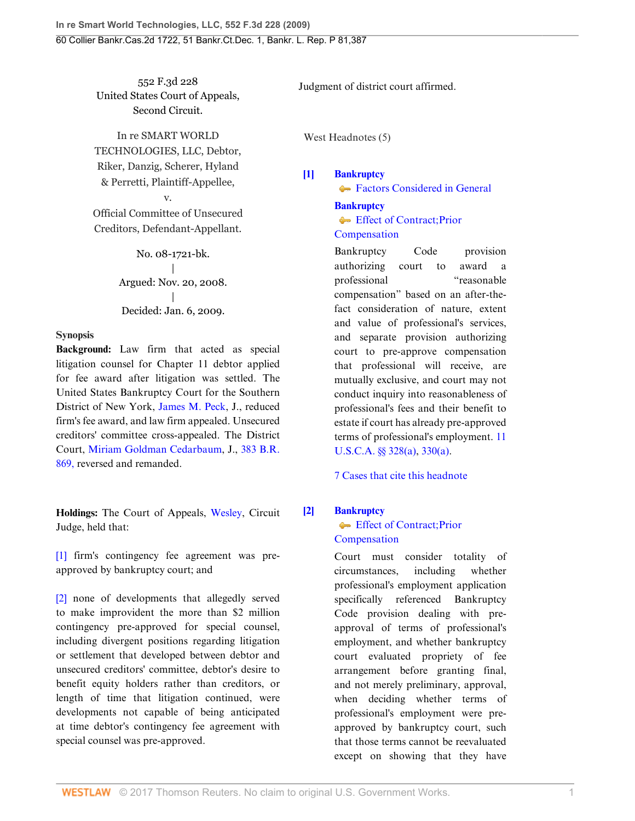552 F.3d 228 United States Court of Appeals, Second Circuit.

In re SMART WORLD TECHNOLOGIES, LLC, Debtor, Riker, Danzig, Scherer, Hyland & Perretti, Plaintiff-Appellee,

Official Committee of Unsecured Creditors, Defendant-Appellant.

v.

No. 08-1721-bk. | Argued: Nov. 20, 2008. | Decided: Jan. 6, 2009.

### **Synopsis**

**Background:** Law firm that acted as special litigation counsel for Chapter 11 debtor applied for fee award after litigation was settled. The United States Bankruptcy Court for the Southern District of New York, [James M. Peck,](http://www.westlaw.com/Link/Document/FullText?findType=h&pubNum=176284&cite=0147553301&originatingDoc=I4326bb90dc2711ddbc7bf97f340af743&refType=RQ&originationContext=document&vr=3.0&rs=cblt1.0&transitionType=DocumentItem&contextData=(sc.Search)) J., reduced firm's fee award, and law firm appealed. Unsecured creditors' committee cross-appealed. The District Court, [Miriam Goldman Cedarbaum](http://www.westlaw.com/Link/Document/FullText?findType=h&pubNum=176284&cite=0251952801&originatingDoc=I4326bb90dc2711ddbc7bf97f340af743&refType=RQ&originationContext=document&vr=3.0&rs=cblt1.0&transitionType=DocumentItem&contextData=(sc.Search)), J., [383 B.R.](http://www.westlaw.com/Link/Document/FullText?findType=Y&serNum=2015534316&pubNum=164&originatingDoc=I4326bb90dc2711ddbc7bf97f340af743&refType=RP&originationContext=document&vr=3.0&rs=cblt1.0&transitionType=DocumentItem&contextData=(sc.Search)) [869,](http://www.westlaw.com/Link/Document/FullText?findType=Y&serNum=2015534316&pubNum=164&originatingDoc=I4326bb90dc2711ddbc7bf97f340af743&refType=RP&originationContext=document&vr=3.0&rs=cblt1.0&transitionType=DocumentItem&contextData=(sc.Search)) reversed and remanded.

**Holdings:** The Court of Appeals, [Wesley](http://www.westlaw.com/Link/Document/FullText?findType=h&pubNum=176284&cite=0163021901&originatingDoc=I4326bb90dc2711ddbc7bf97f340af743&refType=RQ&originationContext=document&vr=3.0&rs=cblt1.0&transitionType=DocumentItem&contextData=(sc.Search)), Circuit Judge, held that:

[\[1\]](#page-1-0) firm's contingency fee agreement was preapproved by bankruptcy court; and

[\[2\]](#page-1-1) none of developments that allegedly served to make improvident the more than \$2 million contingency pre-approved for special counsel, including divergent positions regarding litigation or settlement that developed between debtor and unsecured creditors' committee, debtor's desire to benefit equity holders rather than creditors, or length of time that litigation continued, were developments not capable of being anticipated at time debtor's contingency fee agreement with special counsel was pre-approved.

Judgment of district court affirmed.

West Headnotes (5)

### <span id="page-0-0"></span>**[\[1\]](#page-4-0) [Bankruptcy](http://www.westlaw.com/Browse/Home/KeyNumber/51/View.html?docGuid=I4326bb90dc2711ddbc7bf97f340af743&originationContext=document&vr=3.0&rs=cblt1.0&transitionType=DocumentItem&contextData=(sc.Search))** [Factors Considered in General](http://www.westlaw.com/Browse/Home/KeyNumber/51k3193/View.html?docGuid=I4326bb90dc2711ddbc7bf97f340af743&originationContext=document&vr=3.0&rs=cblt1.0&transitionType=DocumentItem&contextData=(sc.Search))

**[Bankruptcy](http://www.westlaw.com/Browse/Home/KeyNumber/51/View.html?docGuid=I4326bb90dc2711ddbc7bf97f340af743&originationContext=document&vr=3.0&rs=cblt1.0&transitionType=DocumentItem&contextData=(sc.Search))** [Effect of Contract; Prior](http://www.westlaw.com/Browse/Home/KeyNumber/51k3200/View.html?docGuid=I4326bb90dc2711ddbc7bf97f340af743&originationContext=document&vr=3.0&rs=cblt1.0&transitionType=DocumentItem&contextData=(sc.Search)) [Compensation](http://www.westlaw.com/Browse/Home/KeyNumber/51k3200/View.html?docGuid=I4326bb90dc2711ddbc7bf97f340af743&originationContext=document&vr=3.0&rs=cblt1.0&transitionType=DocumentItem&contextData=(sc.Search))

Bankruptcy Code provision authorizing court to award a professional "reasonable compensation" based on an after-thefact consideration of nature, extent and value of professional's services, and separate provision authorizing court to pre-approve compensation that professional will receive, are mutually exclusive, and court may not conduct inquiry into reasonableness of professional's fees and their benefit to estate if court has already pre-approved terms of professional's employment. [11](http://www.westlaw.com/Link/Document/FullText?findType=L&pubNum=1000546&cite=11USCAS328&originatingDoc=I4326bb90dc2711ddbc7bf97f340af743&refType=RB&originationContext=document&vr=3.0&rs=cblt1.0&transitionType=DocumentItem&contextData=(sc.Search)#co_pp_8b3b0000958a4) [U.S.C.A. §§ 328\(a\)](http://www.westlaw.com/Link/Document/FullText?findType=L&pubNum=1000546&cite=11USCAS328&originatingDoc=I4326bb90dc2711ddbc7bf97f340af743&refType=RB&originationContext=document&vr=3.0&rs=cblt1.0&transitionType=DocumentItem&contextData=(sc.Search)#co_pp_8b3b0000958a4), [330\(a\)](http://www.westlaw.com/Link/Document/FullText?findType=L&pubNum=1000546&cite=11USCAS330&originatingDoc=I4326bb90dc2711ddbc7bf97f340af743&refType=RB&originationContext=document&vr=3.0&rs=cblt1.0&transitionType=DocumentItem&contextData=(sc.Search)#co_pp_8b3b0000958a4).

[7 Cases that cite this headnote](http://www.westlaw.com/Link/RelatedInformation/DocHeadnoteLink?docGuid=I4326bb90dc2711ddbc7bf97f340af743&headnoteId=201782797300120090402220443&originationContext=document&vr=3.0&rs=cblt1.0&transitionType=CitingReferences&contextData=(sc.Search))

# <span id="page-0-1"></span>**[\[2\]](#page-5-0) [Bankruptcy](http://www.westlaw.com/Browse/Home/KeyNumber/51/View.html?docGuid=I4326bb90dc2711ddbc7bf97f340af743&originationContext=document&vr=3.0&rs=cblt1.0&transitionType=DocumentItem&contextData=(sc.Search))**

### **[Effect of Contract; Prior](http://www.westlaw.com/Browse/Home/KeyNumber/51k3200/View.html?docGuid=I4326bb90dc2711ddbc7bf97f340af743&originationContext=document&vr=3.0&rs=cblt1.0&transitionType=DocumentItem&contextData=(sc.Search))** [Compensation](http://www.westlaw.com/Browse/Home/KeyNumber/51k3200/View.html?docGuid=I4326bb90dc2711ddbc7bf97f340af743&originationContext=document&vr=3.0&rs=cblt1.0&transitionType=DocumentItem&contextData=(sc.Search))

Court must consider totality of circumstances, including whether professional's employment application specifically referenced Bankruptcy Code provision dealing with preapproval of terms of professional's employment, and whether bankruptcy court evaluated propriety of fee arrangement before granting final, and not merely preliminary, approval, when deciding whether terms of professional's employment were preapproved by bankruptcy court, such that those terms cannot be reevaluated except on showing that they have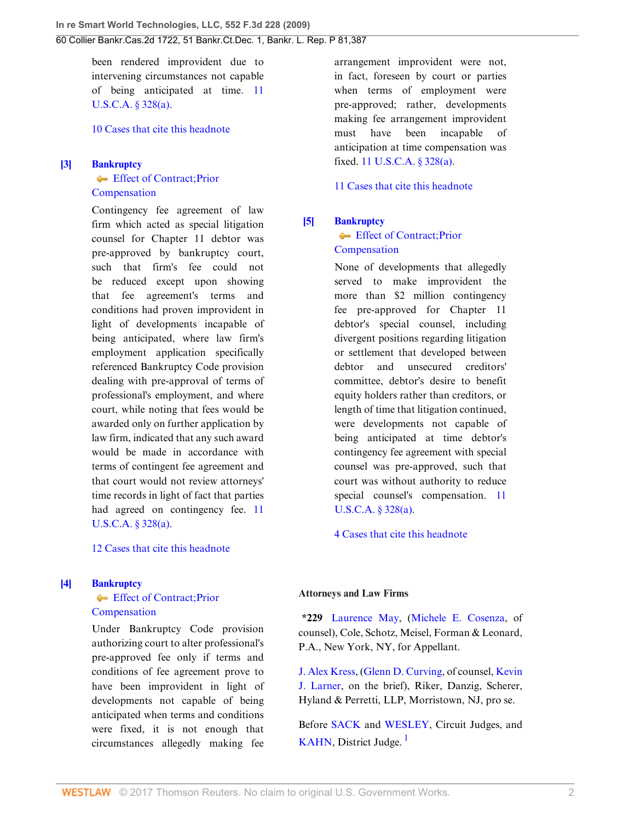been rendered improvident due to intervening circumstances not capable of being anticipated at time. [11](http://www.westlaw.com/Link/Document/FullText?findType=L&pubNum=1000546&cite=11USCAS328&originatingDoc=I4326bb90dc2711ddbc7bf97f340af743&refType=RB&originationContext=document&vr=3.0&rs=cblt1.0&transitionType=DocumentItem&contextData=(sc.Search)#co_pp_8b3b0000958a4) [U.S.C.A. § 328\(a\).](http://www.westlaw.com/Link/Document/FullText?findType=L&pubNum=1000546&cite=11USCAS328&originatingDoc=I4326bb90dc2711ddbc7bf97f340af743&refType=RB&originationContext=document&vr=3.0&rs=cblt1.0&transitionType=DocumentItem&contextData=(sc.Search)#co_pp_8b3b0000958a4)

### [10 Cases that cite this headnote](http://www.westlaw.com/Link/RelatedInformation/DocHeadnoteLink?docGuid=I4326bb90dc2711ddbc7bf97f340af743&headnoteId=201782797300220090402220443&originationContext=document&vr=3.0&rs=cblt1.0&transitionType=CitingReferences&contextData=(sc.Search))

# <span id="page-1-0"></span>**[\[3\]](#page-5-1) [Bankruptcy](http://www.westlaw.com/Browse/Home/KeyNumber/51/View.html?docGuid=I4326bb90dc2711ddbc7bf97f340af743&originationContext=document&vr=3.0&rs=cblt1.0&transitionType=DocumentItem&contextData=(sc.Search)) Effect of Contract: Prior**

### [Compensation](http://www.westlaw.com/Browse/Home/KeyNumber/51k3200/View.html?docGuid=I4326bb90dc2711ddbc7bf97f340af743&originationContext=document&vr=3.0&rs=cblt1.0&transitionType=DocumentItem&contextData=(sc.Search))

Contingency fee agreement of law firm which acted as special litigation counsel for Chapter 11 debtor was pre-approved by bankruptcy court, such that firm's fee could not be reduced except upon showing that fee agreement's terms and conditions had proven improvident in light of developments incapable of being anticipated, where law firm's employment application specifically referenced Bankruptcy Code provision dealing with pre-approval of terms of professional's employment, and where court, while noting that fees would be awarded only on further application by law firm, indicated that any such award would be made in accordance with terms of contingent fee agreement and that court would not review attorneys' time records in light of fact that parties had agreed on contingency fee. [11](http://www.westlaw.com/Link/Document/FullText?findType=L&pubNum=1000546&cite=11USCAS328&originatingDoc=I4326bb90dc2711ddbc7bf97f340af743&refType=RB&originationContext=document&vr=3.0&rs=cblt1.0&transitionType=DocumentItem&contextData=(sc.Search)#co_pp_8b3b0000958a4) [U.S.C.A. § 328\(a\).](http://www.westlaw.com/Link/Document/FullText?findType=L&pubNum=1000546&cite=11USCAS328&originatingDoc=I4326bb90dc2711ddbc7bf97f340af743&refType=RB&originationContext=document&vr=3.0&rs=cblt1.0&transitionType=DocumentItem&contextData=(sc.Search)#co_pp_8b3b0000958a4)

### [12 Cases that cite this headnote](http://www.westlaw.com/Link/RelatedInformation/DocHeadnoteLink?docGuid=I4326bb90dc2711ddbc7bf97f340af743&headnoteId=201782797300320090402220443&originationContext=document&vr=3.0&rs=cblt1.0&transitionType=CitingReferences&contextData=(sc.Search))

### <span id="page-1-3"></span>**[\[4\]](#page-6-0) [Bankruptcy](http://www.westlaw.com/Browse/Home/KeyNumber/51/View.html?docGuid=I4326bb90dc2711ddbc7bf97f340af743&originationContext=document&vr=3.0&rs=cblt1.0&transitionType=DocumentItem&contextData=(sc.Search))**

### **[Effect of Contract; Prior](http://www.westlaw.com/Browse/Home/KeyNumber/51k3200/View.html?docGuid=I4326bb90dc2711ddbc7bf97f340af743&originationContext=document&vr=3.0&rs=cblt1.0&transitionType=DocumentItem&contextData=(sc.Search)) [Compensation](http://www.westlaw.com/Browse/Home/KeyNumber/51k3200/View.html?docGuid=I4326bb90dc2711ddbc7bf97f340af743&originationContext=document&vr=3.0&rs=cblt1.0&transitionType=DocumentItem&contextData=(sc.Search))**

Under Bankruptcy Code provision authorizing court to alter professional's pre-approved fee only if terms and conditions of fee agreement prove to have been improvident in light of developments not capable of being anticipated when terms and conditions were fixed, it is not enough that circumstances allegedly making fee

arrangement improvident were not, in fact, foreseen by court or parties when terms of employment were pre-approved; rather, developments making fee arrangement improvident must have been incapable of anticipation at time compensation was fixed. [11 U.S.C.A. § 328\(a\)](http://www.westlaw.com/Link/Document/FullText?findType=L&pubNum=1000546&cite=11USCAS328&originatingDoc=I4326bb90dc2711ddbc7bf97f340af743&refType=RB&originationContext=document&vr=3.0&rs=cblt1.0&transitionType=DocumentItem&contextData=(sc.Search)#co_pp_8b3b0000958a4).

[11 Cases that cite this headnote](http://www.westlaw.com/Link/RelatedInformation/DocHeadnoteLink?docGuid=I4326bb90dc2711ddbc7bf97f340af743&headnoteId=201782797300420090402220443&originationContext=document&vr=3.0&rs=cblt1.0&transitionType=CitingReferences&contextData=(sc.Search))

### <span id="page-1-1"></span>**[\[5\]](#page-6-1) [Bankruptcy](http://www.westlaw.com/Browse/Home/KeyNumber/51/View.html?docGuid=I4326bb90dc2711ddbc7bf97f340af743&originationContext=document&vr=3.0&rs=cblt1.0&transitionType=DocumentItem&contextData=(sc.Search))**

## **Effect of Contract: Prior** [Compensation](http://www.westlaw.com/Browse/Home/KeyNumber/51k3200/View.html?docGuid=I4326bb90dc2711ddbc7bf97f340af743&originationContext=document&vr=3.0&rs=cblt1.0&transitionType=DocumentItem&contextData=(sc.Search))

None of developments that allegedly served to make improvident the more than \$2 million contingency fee pre-approved for Chapter 11 debtor's special counsel, including divergent positions regarding litigation or settlement that developed between debtor and unsecured creditors' committee, debtor's desire to benefit equity holders rather than creditors, or length of time that litigation continued, were developments not capable of being anticipated at time debtor's contingency fee agreement with special counsel was pre-approved, such that court was without authority to reduce special counsel's compensation. [11](http://www.westlaw.com/Link/Document/FullText?findType=L&pubNum=1000546&cite=11USCAS328&originatingDoc=I4326bb90dc2711ddbc7bf97f340af743&refType=RB&originationContext=document&vr=3.0&rs=cblt1.0&transitionType=DocumentItem&contextData=(sc.Search)#co_pp_8b3b0000958a4) [U.S.C.A. § 328\(a\).](http://www.westlaw.com/Link/Document/FullText?findType=L&pubNum=1000546&cite=11USCAS328&originatingDoc=I4326bb90dc2711ddbc7bf97f340af743&refType=RB&originationContext=document&vr=3.0&rs=cblt1.0&transitionType=DocumentItem&contextData=(sc.Search)#co_pp_8b3b0000958a4)

[4 Cases that cite this headnote](http://www.westlaw.com/Link/RelatedInformation/DocHeadnoteLink?docGuid=I4326bb90dc2711ddbc7bf97f340af743&headnoteId=201782797300520090402220443&originationContext=document&vr=3.0&rs=cblt1.0&transitionType=CitingReferences&contextData=(sc.Search))

### **Attorneys and Law Firms**

**\*229** [Laurence May,](http://www.westlaw.com/Link/Document/FullText?findType=h&pubNum=176284&cite=0151594201&originatingDoc=I4326bb90dc2711ddbc7bf97f340af743&refType=RQ&originationContext=document&vr=3.0&rs=cblt1.0&transitionType=DocumentItem&contextData=(sc.Search)) [\(Michele E. Cosenza,](http://www.westlaw.com/Link/Document/FullText?findType=h&pubNum=176284&cite=0338178001&originatingDoc=I4326bb90dc2711ddbc7bf97f340af743&refType=RQ&originationContext=document&vr=3.0&rs=cblt1.0&transitionType=DocumentItem&contextData=(sc.Search)) of counsel), Cole, Schotz, Meisel, Forman & Leonard, P.A., New York, NY, for Appellant.

[J. Alex Kress,](http://www.westlaw.com/Link/Document/FullText?findType=h&pubNum=176284&cite=0193379201&originatingDoc=I4326bb90dc2711ddbc7bf97f340af743&refType=RQ&originationContext=document&vr=3.0&rs=cblt1.0&transitionType=DocumentItem&contextData=(sc.Search)) ([Glenn D. Curving](http://www.westlaw.com/Link/Document/FullText?findType=h&pubNum=176284&cite=0162432901&originatingDoc=I4326bb90dc2711ddbc7bf97f340af743&refType=RQ&originationContext=document&vr=3.0&rs=cblt1.0&transitionType=DocumentItem&contextData=(sc.Search)), of counsel, [Kevin](http://www.westlaw.com/Link/Document/FullText?findType=h&pubNum=176284&cite=0358692401&originatingDoc=I4326bb90dc2711ddbc7bf97f340af743&refType=RQ&originationContext=document&vr=3.0&rs=cblt1.0&transitionType=DocumentItem&contextData=(sc.Search)) [J. Larner,](http://www.westlaw.com/Link/Document/FullText?findType=h&pubNum=176284&cite=0358692401&originatingDoc=I4326bb90dc2711ddbc7bf97f340af743&refType=RQ&originationContext=document&vr=3.0&rs=cblt1.0&transitionType=DocumentItem&contextData=(sc.Search)) on the brief), Riker, Danzig, Scherer, Hyland & Perretti, LLP, Morristown, NJ, pro se.

<span id="page-1-2"></span>Before [SACK](http://www.westlaw.com/Link/Document/FullText?findType=h&pubNum=176284&cite=0129377701&originatingDoc=I4326bb90dc2711ddbc7bf97f340af743&refType=RQ&originationContext=document&vr=3.0&rs=cblt1.0&transitionType=DocumentItem&contextData=(sc.Search)) and [WESLEY](http://www.westlaw.com/Link/Document/FullText?findType=h&pubNum=176284&cite=0163021901&originatingDoc=I4326bb90dc2711ddbc7bf97f340af743&refType=RQ&originationContext=document&vr=3.0&rs=cblt1.0&transitionType=DocumentItem&contextData=(sc.Search)), Circuit Judges, and [KAHN](http://www.westlaw.com/Link/Document/FullText?findType=h&pubNum=176284&cite=0121442301&originatingDoc=I4326bb90dc2711ddbc7bf97f340af743&refType=RQ&originationContext=document&vr=3.0&rs=cblt1.0&transitionType=DocumentItem&contextData=(sc.Search)), District Judge. $<sup>1</sup>$  $<sup>1</sup>$  $<sup>1</sup>$ </sup>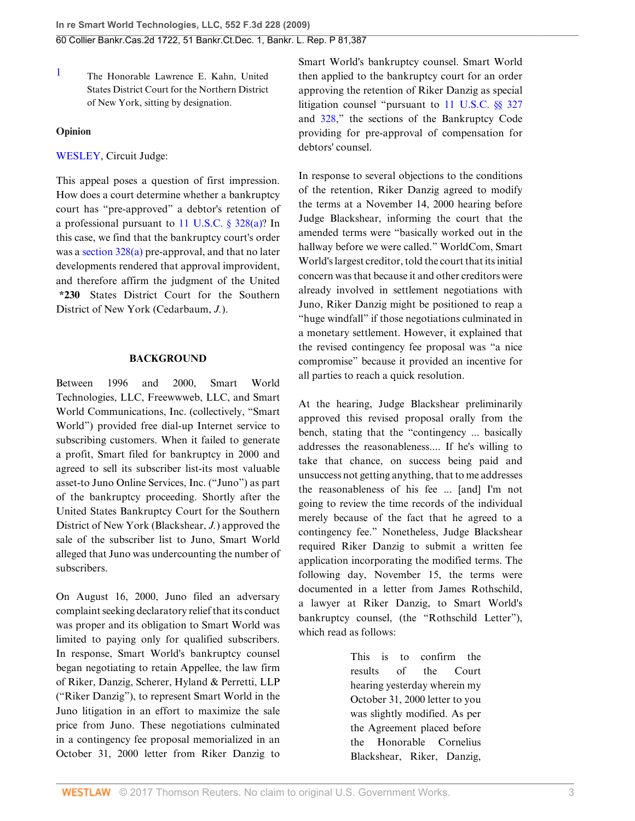<span id="page-2-0"></span> $1$  The Honorable Lawrence E. Kahn, United States District Court for the Northern District of New York, sitting by designation.

### **Opinion**

[WESLEY](http://www.westlaw.com/Link/Document/FullText?findType=h&pubNum=176284&cite=0163021901&originatingDoc=I4326bb90dc2711ddbc7bf97f340af743&refType=RQ&originationContext=document&vr=3.0&rs=cblt1.0&transitionType=DocumentItem&contextData=(sc.Search)), Circuit Judge:

This appeal poses a question of first impression. How does a court determine whether a bankruptcy court has "pre-approved" a debtor's retention of a professional pursuant to [11 U.S.C. § 328\(a\)](http://www.westlaw.com/Link/Document/FullText?findType=L&pubNum=1000546&cite=11USCAS328&originatingDoc=I4326bb90dc2711ddbc7bf97f340af743&refType=RB&originationContext=document&vr=3.0&rs=cblt1.0&transitionType=DocumentItem&contextData=(sc.Search)#co_pp_8b3b0000958a4)? In this case, we find that the bankruptcy court's order was a [section 328\(a\)](http://www.westlaw.com/Link/Document/FullText?findType=L&pubNum=1000546&cite=11USCAS328&originatingDoc=I4326bb90dc2711ddbc7bf97f340af743&refType=RB&originationContext=document&vr=3.0&rs=cblt1.0&transitionType=DocumentItem&contextData=(sc.Search)#co_pp_8b3b0000958a4) pre-approval, and that no later developments rendered that approval improvident, and therefore affirm the judgment of the United **\*230** States District Court for the Southern District of New York (Cedarbaum, *J.*).

### **BACKGROUND**

Between 1996 and 2000, Smart World Technologies, LLC, Freewwweb, LLC, and Smart World Communications, Inc. (collectively, "Smart World") provided free dial-up Internet service to subscribing customers. When it failed to generate a profit, Smart filed for bankruptcy in 2000 and agreed to sell its subscriber list-its most valuable asset-to Juno Online Services, Inc. ("Juno") as part of the bankruptcy proceeding. Shortly after the United States Bankruptcy Court for the Southern District of New York (Blackshear, *J.*) approved the sale of the subscriber list to Juno, Smart World alleged that Juno was undercounting the number of subscribers.

On August 16, 2000, Juno filed an adversary complaint seeking declaratory relief that its conduct was proper and its obligation to Smart World was limited to paying only for qualified subscribers. In response, Smart World's bankruptcy counsel began negotiating to retain Appellee, the law firm of Riker, Danzig, Scherer, Hyland & Perretti, LLP ("Riker Danzig"), to represent Smart World in the Juno litigation in an effort to maximize the sale price from Juno. These negotiations culminated in a contingency fee proposal memorialized in an October 31, 2000 letter from Riker Danzig to

Smart World's bankruptcy counsel. Smart World then applied to the bankruptcy court for an order approving the retention of Riker Danzig as special litigation counsel "pursuant to [11 U.S.C. §§ 327](http://www.westlaw.com/Link/Document/FullText?findType=L&pubNum=1000546&cite=11USCAS327&originatingDoc=I4326bb90dc2711ddbc7bf97f340af743&refType=LQ&originationContext=document&vr=3.0&rs=cblt1.0&transitionType=DocumentItem&contextData=(sc.Search)) and [328](http://www.westlaw.com/Link/Document/FullText?findType=L&pubNum=1000546&cite=11USCAS328&originatingDoc=I4326bb90dc2711ddbc7bf97f340af743&refType=LQ&originationContext=document&vr=3.0&rs=cblt1.0&transitionType=DocumentItem&contextData=(sc.Search))," the sections of the Bankruptcy Code providing for pre-approval of compensation for debtors' counsel.

In response to several objections to the conditions of the retention, Riker Danzig agreed to modify the terms at a November 14, 2000 hearing before Judge Blackshear, informing the court that the amended terms were "basically worked out in the hallway before we were called." WorldCom, Smart World's largest creditor, told the court that its initial concern was that because it and other creditors were already involved in settlement negotiations with Juno, Riker Danzig might be positioned to reap a "huge windfall" if those negotiations culminated in a monetary settlement. However, it explained that the revised contingency fee proposal was "a nice compromise" because it provided an incentive for all parties to reach a quick resolution.

At the hearing, Judge Blackshear preliminarily approved this revised proposal orally from the bench, stating that the "contingency ... basically addresses the reasonableness.... If he's willing to take that chance, on success being paid and unsuccess not getting anything, that to me addresses the reasonableness of his fee ... [and] I'm not going to review the time records of the individual merely because of the fact that he agreed to a contingency fee." Nonetheless, Judge Blackshear required Riker Danzig to submit a written fee application incorporating the modified terms. The following day, November 15, the terms were documented in a letter from James Rothschild, a lawyer at Riker Danzig, to Smart World's bankruptcy counsel, (the "Rothschild Letter"), which read as follows:

> This is to confirm the results of the Court hearing yesterday wherein my October 31, 2000 letter to you was slightly modified. As per the Agreement placed before the Honorable Cornelius Blackshear, Riker, Danzig,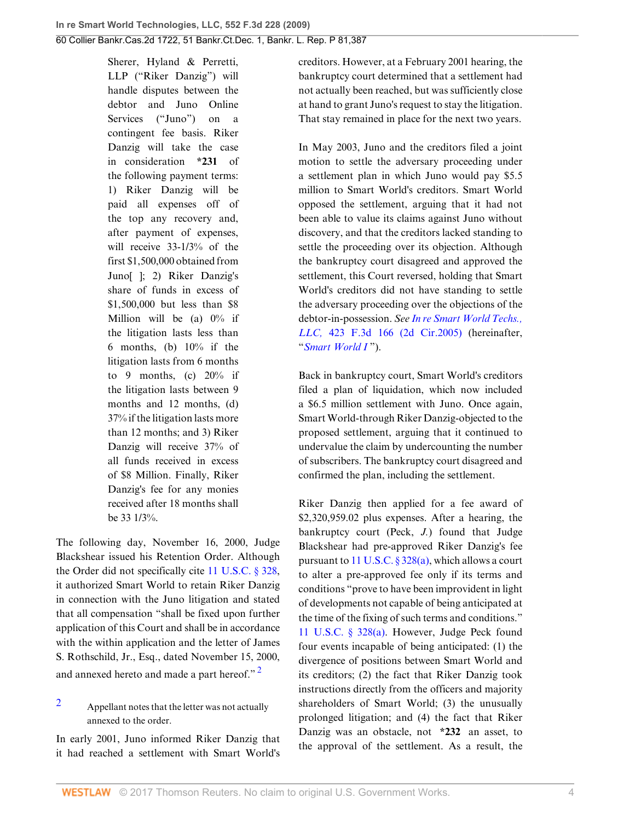Sherer, Hyland & Perretti, LLP ("Riker Danzig") will handle disputes between the debtor and Juno Online Services ("Juno") on a contingent fee basis. Riker Danzig will take the case in consideration **\*231** of the following payment terms: 1) Riker Danzig will be paid all expenses off of the top any recovery and, after payment of expenses, will receive 33-1/3% of the first \$1,500,000 obtained from Juno[ ]; 2) Riker Danzig's share of funds in excess of \$1,500,000 but less than \$8 Million will be (a)  $0\%$  if the litigation lasts less than 6 months, (b) 10% if the litigation lasts from 6 months to 9 months, (c)  $20\%$  if the litigation lasts between 9 months and 12 months, (d) 37% if the litigation lasts more than 12 months; and 3) Riker Danzig will receive 37% of all funds received in excess of \$8 Million. Finally, Riker Danzig's fee for any monies received after 18 months shall be 33 1/3%.

The following day, November 16, 2000, Judge Blackshear issued his Retention Order. Although the Order did not specifically cite [11 U.S.C. § 328](http://www.westlaw.com/Link/Document/FullText?findType=L&pubNum=1000546&cite=11USCAS328&originatingDoc=I4326bb90dc2711ddbc7bf97f340af743&refType=LQ&originationContext=document&vr=3.0&rs=cblt1.0&transitionType=DocumentItem&contextData=(sc.Search)), it authorized Smart World to retain Riker Danzig in connection with the Juno litigation and stated that all compensation "shall be fixed upon further application of this Court and shall be in accordance with the within application and the letter of James S. Rothschild, Jr., Esq., dated November 15, 2000, and annexed hereto and made a part hereof."<sup>[2](#page-3-0)</sup>

<span id="page-3-0"></span>[2](#page-3-1) Appellant notes that the letter was not actually annexed to the order.

In early 2001, Juno informed Riker Danzig that it had reached a settlement with Smart World's creditors. However, at a February 2001 hearing, the bankruptcy court determined that a settlement had not actually been reached, but was sufficiently close at hand to grant Juno's request to stay the litigation. That stay remained in place for the next two years.

In May 2003, Juno and the creditors filed a joint motion to settle the adversary proceeding under a settlement plan in which Juno would pay \$5.5 million to Smart World's creditors. Smart World opposed the settlement, arguing that it had not been able to value its claims against Juno without discovery, and that the creditors lacked standing to settle the proceeding over its objection. Although the bankruptcy court disagreed and approved the settlement, this Court reversed, holding that Smart World's creditors did not have standing to settle the adversary proceeding over the objections of the debtor-in-possession. *See [In re Smart World Techs.,](http://www.westlaw.com/Link/Document/FullText?findType=Y&serNum=2007282983&pubNum=506&originatingDoc=I4326bb90dc2711ddbc7bf97f340af743&refType=RP&originationContext=document&vr=3.0&rs=cblt1.0&transitionType=DocumentItem&contextData=(sc.Search)) LLC,* [423 F.3d 166 \(2d Cir.2005\)](http://www.westlaw.com/Link/Document/FullText?findType=Y&serNum=2007282983&pubNum=506&originatingDoc=I4326bb90dc2711ddbc7bf97f340af743&refType=RP&originationContext=document&vr=3.0&rs=cblt1.0&transitionType=DocumentItem&contextData=(sc.Search)) (hereinafter, "*[Smart World I](http://www.westlaw.com/Link/Document/FullText?findType=Y&serNum=2007282983&originatingDoc=I4326bb90dc2711ddbc7bf97f340af743&refType=RP&originationContext=document&vr=3.0&rs=cblt1.0&transitionType=DocumentItem&contextData=(sc.Search))* ").

Back in bankruptcy court, Smart World's creditors filed a plan of liquidation, which now included a \$6.5 million settlement with Juno. Once again, Smart World-through Riker Danzig-objected to the proposed settlement, arguing that it continued to undervalue the claim by undercounting the number of subscribers. The bankruptcy court disagreed and confirmed the plan, including the settlement.

<span id="page-3-1"></span>Riker Danzig then applied for a fee award of \$2,320,959.02 plus expenses. After a hearing, the bankruptcy court (Peck, *J.*) found that Judge Blackshear had pre-approved Riker Danzig's fee pursuant to 11 U.S.C.  $\S 328(a)$ , which allows a court to alter a pre-approved fee only if its terms and conditions "prove to have been improvident in light of developments not capable of being anticipated at the time of the fixing of such terms and conditions." [11 U.S.C. § 328\(a\)](http://www.westlaw.com/Link/Document/FullText?findType=L&pubNum=1000546&cite=11USCAS328&originatingDoc=I4326bb90dc2711ddbc7bf97f340af743&refType=RB&originationContext=document&vr=3.0&rs=cblt1.0&transitionType=DocumentItem&contextData=(sc.Search)#co_pp_8b3b0000958a4). However, Judge Peck found four events incapable of being anticipated: (1) the divergence of positions between Smart World and its creditors; (2) the fact that Riker Danzig took instructions directly from the officers and majority shareholders of Smart World; (3) the unusually prolonged litigation; and (4) the fact that Riker Danzig was an obstacle, not **\*232** an asset, to the approval of the settlement. As a result, the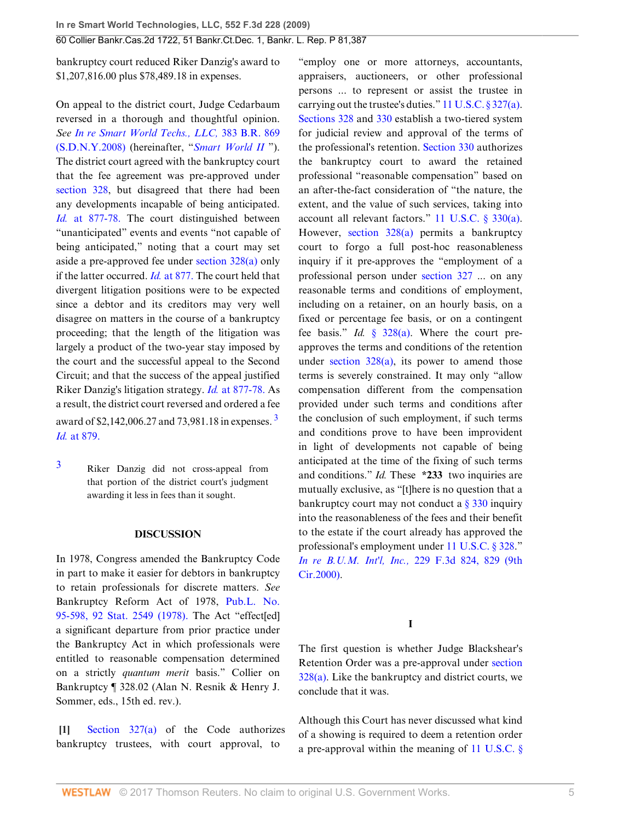60 Collier Bankr.Cas.2d 1722, 51 Bankr.Ct.Dec. 1, Bankr. L. Rep. P 81,387

bankruptcy court reduced Riker Danzig's award to \$1,207,816.00 plus \$78,489.18 in expenses.

On appeal to the district court, Judge Cedarbaum reversed in a thorough and thoughtful opinion. *See [In re Smart World Techs., LLC,](http://www.westlaw.com/Link/Document/FullText?findType=Y&serNum=2015534316&pubNum=164&originatingDoc=I4326bb90dc2711ddbc7bf97f340af743&refType=RP&originationContext=document&vr=3.0&rs=cblt1.0&transitionType=DocumentItem&contextData=(sc.Search))* 383 B.R. 869 [\(S.D.N.Y.2008\)](http://www.westlaw.com/Link/Document/FullText?findType=Y&serNum=2015534316&pubNum=164&originatingDoc=I4326bb90dc2711ddbc7bf97f340af743&refType=RP&originationContext=document&vr=3.0&rs=cblt1.0&transitionType=DocumentItem&contextData=(sc.Search)) (hereinafter, "*[Smart World II](http://www.westlaw.com/Link/Document/FullText?findType=Y&serNum=2015534316&originatingDoc=I4326bb90dc2711ddbc7bf97f340af743&refType=RP&originationContext=document&vr=3.0&rs=cblt1.0&transitionType=DocumentItem&contextData=(sc.Search))* "). The district court agreed with the bankruptcy court that the fee agreement was pre-approved under [section 328](http://www.westlaw.com/Link/Document/FullText?findType=L&pubNum=1000546&cite=11USCAS328&originatingDoc=I4326bb90dc2711ddbc7bf97f340af743&refType=LQ&originationContext=document&vr=3.0&rs=cblt1.0&transitionType=DocumentItem&contextData=(sc.Search)), but disagreed that there had been any developments incapable of being anticipated. *Id.* [at 877-78.](http://www.westlaw.com/Link/Document/FullText?findType=Y&serNum=2015534316&originatingDoc=I4326bb90dc2711ddbc7bf97f340af743&refType=RP&originationContext=document&vr=3.0&rs=cblt1.0&transitionType=DocumentItem&contextData=(sc.Search)) The court distinguished between "unanticipated" events and events "not capable of being anticipated," noting that a court may set aside a pre-approved fee under [section 328\(a\)](http://www.westlaw.com/Link/Document/FullText?findType=L&pubNum=1000546&cite=11USCAS328&originatingDoc=I4326bb90dc2711ddbc7bf97f340af743&refType=RB&originationContext=document&vr=3.0&rs=cblt1.0&transitionType=DocumentItem&contextData=(sc.Search)#co_pp_8b3b0000958a4) only if the latter occurred. *Id.* [at 877.](http://www.westlaw.com/Link/Document/FullText?findType=Y&serNum=2015534316&originatingDoc=I4326bb90dc2711ddbc7bf97f340af743&refType=RP&originationContext=document&vr=3.0&rs=cblt1.0&transitionType=DocumentItem&contextData=(sc.Search)) The court held that divergent litigation positions were to be expected since a debtor and its creditors may very well disagree on matters in the course of a bankruptcy proceeding; that the length of the litigation was largely a product of the two-year stay imposed by the court and the successful appeal to the Second Circuit; and that the success of the appeal justified Riker Danzig's litigation strategy. *Id.* [at 877-78.](http://www.westlaw.com/Link/Document/FullText?findType=Y&serNum=2015534316&originatingDoc=I4326bb90dc2711ddbc7bf97f340af743&refType=RP&originationContext=document&vr=3.0&rs=cblt1.0&transitionType=DocumentItem&contextData=(sc.Search)) As a result, the district court reversed and ordered a fee award of \$2,142,006.27 and 7[3](#page-4-1),981.18 in expenses.<sup>3</sup> *Id.* [at 879.](http://www.westlaw.com/Link/Document/FullText?findType=Y&serNum=2015534316&originatingDoc=I4326bb90dc2711ddbc7bf97f340af743&refType=RP&originationContext=document&vr=3.0&rs=cblt1.0&transitionType=DocumentItem&contextData=(sc.Search))

<span id="page-4-1"></span>[3](#page-4-2) Riker Danzig did not cross-appeal from that portion of the district court's judgment awarding it less in fees than it sought.

#### <span id="page-4-2"></span>**DISCUSSION**

In 1978, Congress amended the Bankruptcy Code in part to make it easier for debtors in bankruptcy to retain professionals for discrete matters. *See* Bankruptcy Reform Act of 1978, [Pub.L. No.](http://www.westlaw.com/Link/Document/FullText?findType=l&pubNum=1077005&cite=UUID(I71DDF349F4-37451FB502A-F9883A97ED5)&originatingDoc=I4326bb90dc2711ddbc7bf97f340af743&refType=SL&originationContext=document&vr=3.0&rs=cblt1.0&transitionType=DocumentItem&contextData=(sc.Search)) [95-598, 92 Stat. 2549 \(1978\).](http://www.westlaw.com/Link/Document/FullText?findType=l&pubNum=1077005&cite=UUID(I71DDF349F4-37451FB502A-F9883A97ED5)&originatingDoc=I4326bb90dc2711ddbc7bf97f340af743&refType=SL&originationContext=document&vr=3.0&rs=cblt1.0&transitionType=DocumentItem&contextData=(sc.Search)) The Act "effect[ed] a significant departure from prior practice under the Bankruptcy Act in which professionals were entitled to reasonable compensation determined on a strictly *quantum merit* basis." Collier on Bankruptcy ¶ 328.02 (Alan N. Resnik & Henry J. Sommer, eds., 15th ed. rev.).

<span id="page-4-0"></span>**[\[1](#page-0-0)]** [Section 327\(a\)](http://www.westlaw.com/Link/Document/FullText?findType=L&pubNum=1000546&cite=11USCAS327&originatingDoc=I4326bb90dc2711ddbc7bf97f340af743&refType=LQ&originationContext=document&vr=3.0&rs=cblt1.0&transitionType=DocumentItem&contextData=(sc.Search)) of the Code authorizes bankruptcy trustees, with court approval, to

"employ one or more attorneys, accountants, appraisers, auctioneers, or other professional persons ... to represent or assist the trustee in carrying out the trustee's duties." [11 U.S.C. § 327\(a\)](http://www.westlaw.com/Link/Document/FullText?findType=L&pubNum=1000546&cite=11USCAS327&originatingDoc=I4326bb90dc2711ddbc7bf97f340af743&refType=RB&originationContext=document&vr=3.0&rs=cblt1.0&transitionType=DocumentItem&contextData=(sc.Search)#co_pp_8b3b0000958a4). [Sections 328](http://www.westlaw.com/Link/Document/FullText?findType=L&pubNum=1000546&cite=11USCAS328&originatingDoc=I4326bb90dc2711ddbc7bf97f340af743&refType=LQ&originationContext=document&vr=3.0&rs=cblt1.0&transitionType=DocumentItem&contextData=(sc.Search)) and [330](http://www.westlaw.com/Link/Document/FullText?findType=L&pubNum=1000546&cite=11USCAS330&originatingDoc=I4326bb90dc2711ddbc7bf97f340af743&refType=LQ&originationContext=document&vr=3.0&rs=cblt1.0&transitionType=DocumentItem&contextData=(sc.Search)) establish a two-tiered system for judicial review and approval of the terms of the professional's retention. [Section 330](http://www.westlaw.com/Link/Document/FullText?findType=L&pubNum=1000546&cite=11USCAS330&originatingDoc=I4326bb90dc2711ddbc7bf97f340af743&refType=LQ&originationContext=document&vr=3.0&rs=cblt1.0&transitionType=DocumentItem&contextData=(sc.Search)) authorizes the bankruptcy court to award the retained professional "reasonable compensation" based on an after-the-fact consideration of "the nature, the extent, and the value of such services, taking into account all relevant factors." [11 U.S.C. § 330\(a\)](http://www.westlaw.com/Link/Document/FullText?findType=L&pubNum=1000546&cite=11USCAS330&originatingDoc=I4326bb90dc2711ddbc7bf97f340af743&refType=RB&originationContext=document&vr=3.0&rs=cblt1.0&transitionType=DocumentItem&contextData=(sc.Search)#co_pp_8b3b0000958a4). However, [section 328\(a\)](http://www.westlaw.com/Link/Document/FullText?findType=L&pubNum=1000546&cite=11USCAS328&originatingDoc=I4326bb90dc2711ddbc7bf97f340af743&refType=RB&originationContext=document&vr=3.0&rs=cblt1.0&transitionType=DocumentItem&contextData=(sc.Search)#co_pp_8b3b0000958a4) permits a bankruptcy court to forgo a full post-hoc reasonableness inquiry if it pre-approves the "employment of a professional person under [section 327](http://www.westlaw.com/Link/Document/FullText?findType=L&pubNum=1000546&cite=11USCAS327&originatingDoc=I4326bb90dc2711ddbc7bf97f340af743&refType=LQ&originationContext=document&vr=3.0&rs=cblt1.0&transitionType=DocumentItem&contextData=(sc.Search)) ... on any reasonable terms and conditions of employment, including on a retainer, on an hourly basis, on a fixed or percentage fee basis, or on a contingent fee basis." *Id.* [§ 328\(a\).](http://www.westlaw.com/Link/Document/FullText?findType=L&pubNum=1000546&cite=11USCAS328&originatingDoc=I4326bb90dc2711ddbc7bf97f340af743&refType=LQ&originationContext=document&vr=3.0&rs=cblt1.0&transitionType=DocumentItem&contextData=(sc.Search)) Where the court preapproves the terms and conditions of the retention under section  $328(a)$ , its power to amend those terms is severely constrained. It may only "allow compensation different from the compensation provided under such terms and conditions after the conclusion of such employment, if such terms and conditions prove to have been improvident in light of developments not capable of being anticipated at the time of the fixing of such terms and conditions." *Id.* These **\*233** two inquiries are mutually exclusive, as "[t]here is no question that a bankruptcy court may not conduct a  $\S 330$  inquiry into the reasonableness of the fees and their benefit to the estate if the court already has approved the professional's employment under [11 U.S.C. § 328](http://www.westlaw.com/Link/Document/FullText?findType=L&pubNum=1000546&cite=11USCAS328&originatingDoc=I4326bb90dc2711ddbc7bf97f340af743&refType=LQ&originationContext=document&vr=3.0&rs=cblt1.0&transitionType=DocumentItem&contextData=(sc.Search))." *In re B.U.M. Int'l, Inc.,* [229 F.3d 824, 829 \(9th](http://www.westlaw.com/Link/Document/FullText?findType=Y&serNum=2000569970&pubNum=506&originatingDoc=I4326bb90dc2711ddbc7bf97f340af743&refType=RP&fi=co_pp_sp_506_829&originationContext=document&vr=3.0&rs=cblt1.0&transitionType=DocumentItem&contextData=(sc.Search)#co_pp_sp_506_829) [Cir.2000\).](http://www.westlaw.com/Link/Document/FullText?findType=Y&serNum=2000569970&pubNum=506&originatingDoc=I4326bb90dc2711ddbc7bf97f340af743&refType=RP&fi=co_pp_sp_506_829&originationContext=document&vr=3.0&rs=cblt1.0&transitionType=DocumentItem&contextData=(sc.Search)#co_pp_sp_506_829)

### **I**

The first question is whether Judge Blackshear's Retention Order was a pre-approval under [section](http://www.westlaw.com/Link/Document/FullText?findType=L&pubNum=1000546&cite=11USCAS328&originatingDoc=I4326bb90dc2711ddbc7bf97f340af743&refType=RB&originationContext=document&vr=3.0&rs=cblt1.0&transitionType=DocumentItem&contextData=(sc.Search)#co_pp_8b3b0000958a4) [328\(a\).](http://www.westlaw.com/Link/Document/FullText?findType=L&pubNum=1000546&cite=11USCAS328&originatingDoc=I4326bb90dc2711ddbc7bf97f340af743&refType=RB&originationContext=document&vr=3.0&rs=cblt1.0&transitionType=DocumentItem&contextData=(sc.Search)#co_pp_8b3b0000958a4) Like the bankruptcy and district courts, we conclude that it was.

Although this Court has never discussed what kind of a showing is required to deem a retention order a pre-approval within the meaning of [11 U.S.C. §](http://www.westlaw.com/Link/Document/FullText?findType=L&pubNum=1000546&cite=11USCAS328&originatingDoc=I4326bb90dc2711ddbc7bf97f340af743&refType=RB&originationContext=document&vr=3.0&rs=cblt1.0&transitionType=DocumentItem&contextData=(sc.Search)#co_pp_8b3b0000958a4)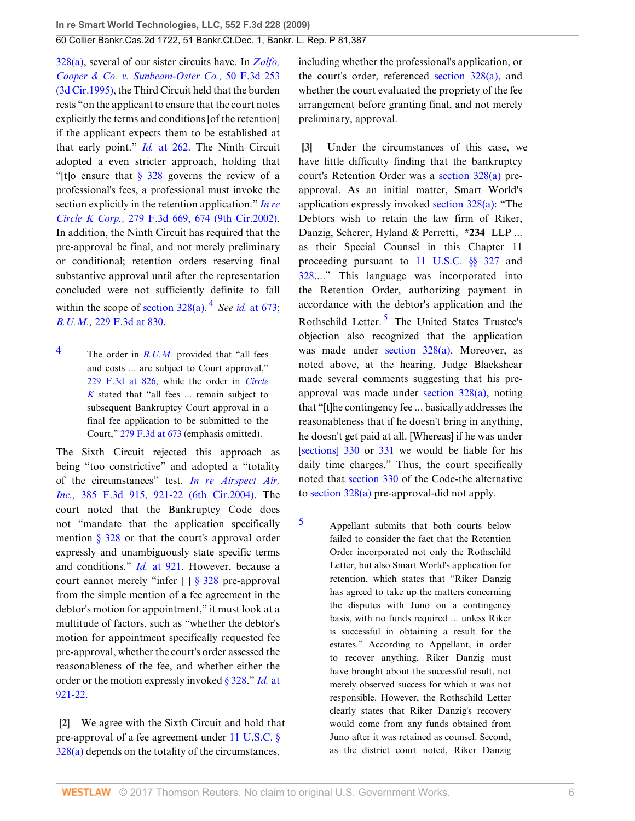### 60 Collier Bankr.Cas.2d 1722, 51 Bankr.Ct.Dec. 1, Bankr. L. Rep. P 81,387

[328\(a\),](http://www.westlaw.com/Link/Document/FullText?findType=L&pubNum=1000546&cite=11USCAS328&originatingDoc=I4326bb90dc2711ddbc7bf97f340af743&refType=RB&originationContext=document&vr=3.0&rs=cblt1.0&transitionType=DocumentItem&contextData=(sc.Search)#co_pp_8b3b0000958a4) several of our sister circuits have. In *[Zolfo,](http://www.westlaw.com/Link/Document/FullText?findType=Y&serNum=1995066058&pubNum=506&originatingDoc=I4326bb90dc2711ddbc7bf97f340af743&refType=RP&originationContext=document&vr=3.0&rs=cblt1.0&transitionType=DocumentItem&contextData=(sc.Search)) [Cooper & Co. v. Sunbeam-Oster Co.,](http://www.westlaw.com/Link/Document/FullText?findType=Y&serNum=1995066058&pubNum=506&originatingDoc=I4326bb90dc2711ddbc7bf97f340af743&refType=RP&originationContext=document&vr=3.0&rs=cblt1.0&transitionType=DocumentItem&contextData=(sc.Search))* 50 F.3d 253 [\(3d Cir.1995\)](http://www.westlaw.com/Link/Document/FullText?findType=Y&serNum=1995066058&pubNum=506&originatingDoc=I4326bb90dc2711ddbc7bf97f340af743&refType=RP&originationContext=document&vr=3.0&rs=cblt1.0&transitionType=DocumentItem&contextData=(sc.Search)), the Third Circuit held that the burden rests "on the applicant to ensure that the court notes explicitly the terms and conditions [of the retention] if the applicant expects them to be established at that early point." *Id.* [at 262.](http://www.westlaw.com/Link/Document/FullText?findType=Y&serNum=1995066058&originatingDoc=I4326bb90dc2711ddbc7bf97f340af743&refType=RP&originationContext=document&vr=3.0&rs=cblt1.0&transitionType=DocumentItem&contextData=(sc.Search)) The Ninth Circuit adopted a even stricter approach, holding that "[t]o ensure that  $\S$  328 governs the review of a professional's fees, a professional must invoke the section explicitly in the retention application." *[In re](http://www.westlaw.com/Link/Document/FullText?findType=Y&serNum=2002101005&pubNum=506&originatingDoc=I4326bb90dc2711ddbc7bf97f340af743&refType=RP&fi=co_pp_sp_506_674&originationContext=document&vr=3.0&rs=cblt1.0&transitionType=DocumentItem&contextData=(sc.Search)#co_pp_sp_506_674) Circle K Corp.,* [279 F.3d 669, 674 \(9th Cir.2002\)](http://www.westlaw.com/Link/Document/FullText?findType=Y&serNum=2002101005&pubNum=506&originatingDoc=I4326bb90dc2711ddbc7bf97f340af743&refType=RP&fi=co_pp_sp_506_674&originationContext=document&vr=3.0&rs=cblt1.0&transitionType=DocumentItem&contextData=(sc.Search)#co_pp_sp_506_674). In addition, the Ninth Circuit has required that the pre-approval be final, and not merely preliminary or conditional; retention orders reserving final substantive approval until after the representation concluded were not sufficiently definite to fall within the scope of section  $328(a)$ .<sup>[4](#page-5-2)</sup> See id. [at 673;](http://www.westlaw.com/Link/Document/FullText?findType=Y&serNum=2002101005&originatingDoc=I4326bb90dc2711ddbc7bf97f340af743&refType=RP&originationContext=document&vr=3.0&rs=cblt1.0&transitionType=DocumentItem&contextData=(sc.Search)) *B.U.M.,* [229 F.3d at 830](http://www.westlaw.com/Link/Document/FullText?findType=Y&serNum=2000569970&pubNum=506&originatingDoc=I4326bb90dc2711ddbc7bf97f340af743&refType=RP&fi=co_pp_sp_506_830&originationContext=document&vr=3.0&rs=cblt1.0&transitionType=DocumentItem&contextData=(sc.Search)#co_pp_sp_506_830).

<span id="page-5-3"></span><span id="page-5-2"></span>[4](#page-5-3) The order in *[B.U.M.](http://www.westlaw.com/Link/Document/FullText?findType=Y&serNum=2000569970&originatingDoc=I4326bb90dc2711ddbc7bf97f340af743&refType=RP&originationContext=document&vr=3.0&rs=cblt1.0&transitionType=DocumentItem&contextData=(sc.Search))* provided that "all fees and costs ... are subject to Court approval," [229 F.3d at 826,](http://www.westlaw.com/Link/Document/FullText?findType=Y&serNum=2000569970&pubNum=506&originatingDoc=I4326bb90dc2711ddbc7bf97f340af743&refType=RP&fi=co_pp_sp_506_826&originationContext=document&vr=3.0&rs=cblt1.0&transitionType=DocumentItem&contextData=(sc.Search)#co_pp_sp_506_826) while the order in *[Circle](http://www.westlaw.com/Link/Document/FullText?findType=Y&serNum=2002101005&originatingDoc=I4326bb90dc2711ddbc7bf97f340af743&refType=RP&originationContext=document&vr=3.0&rs=cblt1.0&transitionType=DocumentItem&contextData=(sc.Search)) [K](http://www.westlaw.com/Link/Document/FullText?findType=Y&serNum=2002101005&originatingDoc=I4326bb90dc2711ddbc7bf97f340af743&refType=RP&originationContext=document&vr=3.0&rs=cblt1.0&transitionType=DocumentItem&contextData=(sc.Search))* stated that "all fees ... remain subject to subsequent Bankruptcy Court approval in a final fee application to be submitted to the Court," [279 F.3d at 673](http://www.westlaw.com/Link/Document/FullText?findType=Y&serNum=2002101005&pubNum=506&originatingDoc=I4326bb90dc2711ddbc7bf97f340af743&refType=RP&fi=co_pp_sp_506_673&originationContext=document&vr=3.0&rs=cblt1.0&transitionType=DocumentItem&contextData=(sc.Search)#co_pp_sp_506_673) (emphasis omitted).

The Sixth Circuit rejected this approach as being "too constrictive" and adopted a "totality of the circumstances" test. *[In re Airspect Air,](http://www.westlaw.com/Link/Document/FullText?findType=Y&serNum=2005217588&pubNum=506&originatingDoc=I4326bb90dc2711ddbc7bf97f340af743&refType=RP&fi=co_pp_sp_506_921&originationContext=document&vr=3.0&rs=cblt1.0&transitionType=DocumentItem&contextData=(sc.Search)#co_pp_sp_506_921) Inc.,* [385 F.3d 915, 921-22 \(6th Cir.2004\).](http://www.westlaw.com/Link/Document/FullText?findType=Y&serNum=2005217588&pubNum=506&originatingDoc=I4326bb90dc2711ddbc7bf97f340af743&refType=RP&fi=co_pp_sp_506_921&originationContext=document&vr=3.0&rs=cblt1.0&transitionType=DocumentItem&contextData=(sc.Search)#co_pp_sp_506_921) The court noted that the Bankruptcy Code does not "mandate that the application specifically mention  $\S 328$  or that the court's approval order expressly and unambiguously state specific terms and conditions." *Id.* [at 921.](http://www.westlaw.com/Link/Document/FullText?findType=Y&serNum=2005217588&originatingDoc=I4326bb90dc2711ddbc7bf97f340af743&refType=RP&originationContext=document&vr=3.0&rs=cblt1.0&transitionType=DocumentItem&contextData=(sc.Search)) However, because a court cannot merely "infer [ ] [§ 328](http://www.westlaw.com/Link/Document/FullText?findType=L&pubNum=1000546&cite=11USCAS328&originatingDoc=I4326bb90dc2711ddbc7bf97f340af743&refType=LQ&originationContext=document&vr=3.0&rs=cblt1.0&transitionType=DocumentItem&contextData=(sc.Search)) pre-approval from the simple mention of a fee agreement in the debtor's motion for appointment," it must look at a multitude of factors, such as "whether the debtor's motion for appointment specifically requested fee pre-approval, whether the court's order assessed the reasonableness of the fee, and whether either the order or the motion expressly invoked [§ 328.](http://www.westlaw.com/Link/Document/FullText?findType=L&pubNum=1000546&cite=11USCAS328&originatingDoc=I4326bb90dc2711ddbc7bf97f340af743&refType=LQ&originationContext=document&vr=3.0&rs=cblt1.0&transitionType=DocumentItem&contextData=(sc.Search))" *[Id.](http://www.westlaw.com/Link/Document/FullText?findType=Y&serNum=2005217588&originatingDoc=I4326bb90dc2711ddbc7bf97f340af743&refType=RP&originationContext=document&vr=3.0&rs=cblt1.0&transitionType=DocumentItem&contextData=(sc.Search))* at [921-22.](http://www.westlaw.com/Link/Document/FullText?findType=Y&serNum=2005217588&originatingDoc=I4326bb90dc2711ddbc7bf97f340af743&refType=RP&originationContext=document&vr=3.0&rs=cblt1.0&transitionType=DocumentItem&contextData=(sc.Search))

<span id="page-5-0"></span>**[\[2](#page-0-1)]** We agree with the Sixth Circuit and hold that pre-approval of a fee agreement under [11 U.S.C. §](http://www.westlaw.com/Link/Document/FullText?findType=L&pubNum=1000546&cite=11USCAS328&originatingDoc=I4326bb90dc2711ddbc7bf97f340af743&refType=RB&originationContext=document&vr=3.0&rs=cblt1.0&transitionType=DocumentItem&contextData=(sc.Search)#co_pp_8b3b0000958a4)  $328(a)$  depends on the totality of the circumstances,

including whether the professional's application, or the court's order, referenced [section 328\(a\)](http://www.westlaw.com/Link/Document/FullText?findType=L&pubNum=1000546&cite=11USCAS328&originatingDoc=I4326bb90dc2711ddbc7bf97f340af743&refType=RB&originationContext=document&vr=3.0&rs=cblt1.0&transitionType=DocumentItem&contextData=(sc.Search)#co_pp_8b3b0000958a4), and whether the court evaluated the propriety of the fee arrangement before granting final, and not merely preliminary, approval.

<span id="page-5-5"></span><span id="page-5-1"></span>**[\[3](#page-1-0)]** Under the circumstances of this case, we have little difficulty finding that the bankruptcy court's Retention Order was a [section 328\(a\)](http://www.westlaw.com/Link/Document/FullText?findType=L&pubNum=1000546&cite=11USCAS328&originatingDoc=I4326bb90dc2711ddbc7bf97f340af743&refType=RB&originationContext=document&vr=3.0&rs=cblt1.0&transitionType=DocumentItem&contextData=(sc.Search)#co_pp_8b3b0000958a4) preapproval. As an initial matter, Smart World's application expressly invoked [section 328\(a\):](http://www.westlaw.com/Link/Document/FullText?findType=L&pubNum=1000546&cite=11USCAS328&originatingDoc=I4326bb90dc2711ddbc7bf97f340af743&refType=RB&originationContext=document&vr=3.0&rs=cblt1.0&transitionType=DocumentItem&contextData=(sc.Search)#co_pp_8b3b0000958a4) "The Debtors wish to retain the law firm of Riker, Danzig, Scherer, Hyland & Perretti, **\*234** LLP ... as their Special Counsel in this Chapter 11 proceeding pursuant to [11 U.S.C. §§ 327](http://www.westlaw.com/Link/Document/FullText?findType=L&pubNum=1000546&cite=11USCAS327&originatingDoc=I4326bb90dc2711ddbc7bf97f340af743&refType=LQ&originationContext=document&vr=3.0&rs=cblt1.0&transitionType=DocumentItem&contextData=(sc.Search)) and [328](http://www.westlaw.com/Link/Document/FullText?findType=L&pubNum=1000546&cite=11USCAS328&originatingDoc=I4326bb90dc2711ddbc7bf97f340af743&refType=LQ&originationContext=document&vr=3.0&rs=cblt1.0&transitionType=DocumentItem&contextData=(sc.Search))...." This language was incorporated into the Retention Order, authorizing payment in accordance with the debtor's application and the Rothschild Letter.<sup>[5](#page-5-4)</sup> The United States Trustee's objection also recognized that the application was made under [section 328\(a\)](http://www.westlaw.com/Link/Document/FullText?findType=L&pubNum=1000546&cite=11USCAS328&originatingDoc=I4326bb90dc2711ddbc7bf97f340af743&refType=RB&originationContext=document&vr=3.0&rs=cblt1.0&transitionType=DocumentItem&contextData=(sc.Search)#co_pp_8b3b0000958a4). Moreover, as noted above, at the hearing, Judge Blackshear made several comments suggesting that his preapproval was made under [section 328\(a\)](http://www.westlaw.com/Link/Document/FullText?findType=L&pubNum=1000546&cite=11USCAS328&originatingDoc=I4326bb90dc2711ddbc7bf97f340af743&refType=RB&originationContext=document&vr=3.0&rs=cblt1.0&transitionType=DocumentItem&contextData=(sc.Search)#co_pp_8b3b0000958a4), noting that "[t]he contingency fee ... basically addresses the reasonableness that if he doesn't bring in anything, he doesn't get paid at all. [Whereas] if he was under [[sections\] 330](http://www.westlaw.com/Link/Document/FullText?findType=L&pubNum=1000546&cite=11USCAS330&originatingDoc=I4326bb90dc2711ddbc7bf97f340af743&refType=LQ&originationContext=document&vr=3.0&rs=cblt1.0&transitionType=DocumentItem&contextData=(sc.Search)) or [331](http://www.westlaw.com/Link/Document/FullText?findType=L&pubNum=1000546&cite=11USCAS331&originatingDoc=I4326bb90dc2711ddbc7bf97f340af743&refType=LQ&originationContext=document&vr=3.0&rs=cblt1.0&transitionType=DocumentItem&contextData=(sc.Search)) we would be liable for his daily time charges." Thus, the court specifically noted that [section 330](http://www.westlaw.com/Link/Document/FullText?findType=L&pubNum=1000546&cite=11USCAS330&originatingDoc=I4326bb90dc2711ddbc7bf97f340af743&refType=LQ&originationContext=document&vr=3.0&rs=cblt1.0&transitionType=DocumentItem&contextData=(sc.Search)) of the Code-the alternative to [section 328\(a\)](http://www.westlaw.com/Link/Document/FullText?findType=L&pubNum=1000546&cite=11USCAS328&originatingDoc=I4326bb90dc2711ddbc7bf97f340af743&refType=RB&originationContext=document&vr=3.0&rs=cblt1.0&transitionType=DocumentItem&contextData=(sc.Search)#co_pp_8b3b0000958a4) pre-approval-did not apply.

<span id="page-5-4"></span>[5](#page-5-5) Appellant submits that both courts below failed to consider the fact that the Retention Order incorporated not only the Rothschild Letter, but also Smart World's application for retention, which states that "Riker Danzig has agreed to take up the matters concerning the disputes with Juno on a contingency basis, with no funds required ... unless Riker is successful in obtaining a result for the estates." According to Appellant, in order to recover anything, Riker Danzig must have brought about the successful result, not merely observed success for which it was not responsible. However, the Rothschild Letter clearly states that Riker Danzig's recovery would come from any funds obtained from Juno after it was retained as counsel. Second, as the district court noted, Riker Danzig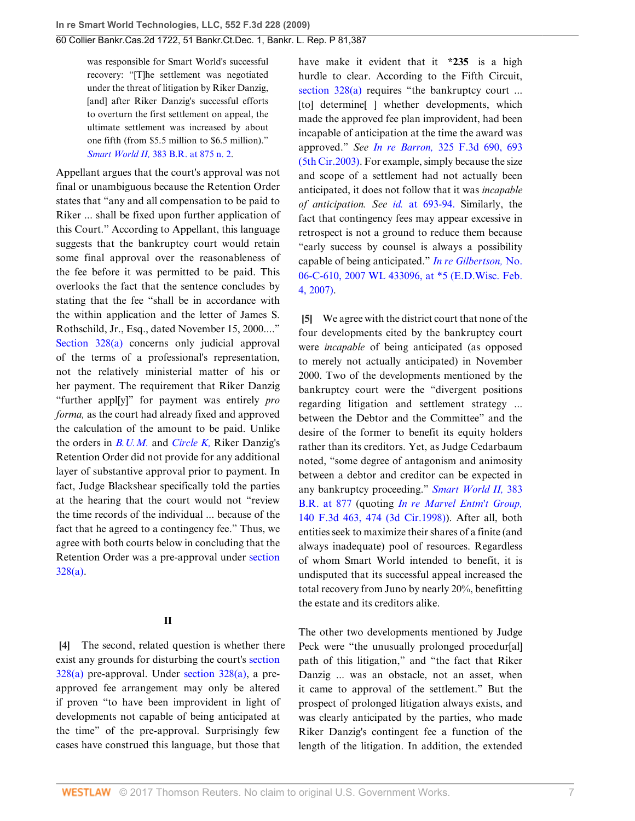was responsible for Smart World's successful recovery: "[T]he settlement was negotiated under the threat of litigation by Riker Danzig, [and] after Riker Danzig's successful efforts to overturn the first settlement on appeal, the ultimate settlement was increased by about one fifth (from \$5.5 million to \$6.5 million)." *Smart World II,* [383 B.R. at 875 n. 2.](http://www.westlaw.com/Link/Document/FullText?findType=Y&serNum=2015534316&pubNum=164&originatingDoc=I4326bb90dc2711ddbc7bf97f340af743&refType=RP&fi=co_pp_sp_164_875&originationContext=document&vr=3.0&rs=cblt1.0&transitionType=DocumentItem&contextData=(sc.Search)#co_pp_sp_164_875)

Appellant argues that the court's approval was not final or unambiguous because the Retention Order states that "any and all compensation to be paid to Riker ... shall be fixed upon further application of this Court." According to Appellant, this language suggests that the bankruptcy court would retain some final approval over the reasonableness of the fee before it was permitted to be paid. This overlooks the fact that the sentence concludes by stating that the fee "shall be in accordance with the within application and the letter of James S. Rothschild, Jr., Esq., dated November 15, 2000...." [Section 328\(a\)](http://www.westlaw.com/Link/Document/FullText?findType=L&pubNum=1000546&cite=11USCAS328&originatingDoc=I4326bb90dc2711ddbc7bf97f340af743&refType=RB&originationContext=document&vr=3.0&rs=cblt1.0&transitionType=DocumentItem&contextData=(sc.Search)#co_pp_8b3b0000958a4) concerns only judicial approval of the terms of a professional's representation, not the relatively ministerial matter of his or her payment. The requirement that Riker Danzig "further appl[y]" for payment was entirely *pro forma,* as the court had already fixed and approved the calculation of the amount to be paid. Unlike the orders in *[B.U.M.](http://www.westlaw.com/Link/Document/FullText?findType=Y&serNum=2000569970&originatingDoc=I4326bb90dc2711ddbc7bf97f340af743&refType=RP&originationContext=document&vr=3.0&rs=cblt1.0&transitionType=DocumentItem&contextData=(sc.Search))* and *[Circle K,](http://www.westlaw.com/Link/Document/FullText?findType=Y&serNum=2002101005&originatingDoc=I4326bb90dc2711ddbc7bf97f340af743&refType=RP&originationContext=document&vr=3.0&rs=cblt1.0&transitionType=DocumentItem&contextData=(sc.Search))* Riker Danzig's Retention Order did not provide for any additional layer of substantive approval prior to payment. In fact, Judge Blackshear specifically told the parties at the hearing that the court would not "review the time records of the individual ... because of the fact that he agreed to a contingency fee." Thus, we agree with both courts below in concluding that the Retention Order was a pre-approval under [section](http://www.westlaw.com/Link/Document/FullText?findType=L&pubNum=1000546&cite=11USCAS328&originatingDoc=I4326bb90dc2711ddbc7bf97f340af743&refType=RB&originationContext=document&vr=3.0&rs=cblt1.0&transitionType=DocumentItem&contextData=(sc.Search)#co_pp_8b3b0000958a4) [328\(a\).](http://www.westlaw.com/Link/Document/FullText?findType=L&pubNum=1000546&cite=11USCAS328&originatingDoc=I4326bb90dc2711ddbc7bf97f340af743&refType=RB&originationContext=document&vr=3.0&rs=cblt1.0&transitionType=DocumentItem&contextData=(sc.Search)#co_pp_8b3b0000958a4)

### **II**

<span id="page-6-0"></span>**[\[4](#page-1-3)]** The second, related question is whether there exist any grounds for disturbing the court's [section](http://www.westlaw.com/Link/Document/FullText?findType=L&pubNum=1000546&cite=11USCAS328&originatingDoc=I4326bb90dc2711ddbc7bf97f340af743&refType=RB&originationContext=document&vr=3.0&rs=cblt1.0&transitionType=DocumentItem&contextData=(sc.Search)#co_pp_8b3b0000958a4) [328\(a\)](http://www.westlaw.com/Link/Document/FullText?findType=L&pubNum=1000546&cite=11USCAS328&originatingDoc=I4326bb90dc2711ddbc7bf97f340af743&refType=RB&originationContext=document&vr=3.0&rs=cblt1.0&transitionType=DocumentItem&contextData=(sc.Search)#co_pp_8b3b0000958a4) pre-approval. Under [section 328\(a\),](http://www.westlaw.com/Link/Document/FullText?findType=L&pubNum=1000546&cite=11USCAS328&originatingDoc=I4326bb90dc2711ddbc7bf97f340af743&refType=RB&originationContext=document&vr=3.0&rs=cblt1.0&transitionType=DocumentItem&contextData=(sc.Search)#co_pp_8b3b0000958a4) a preapproved fee arrangement may only be altered if proven "to have been improvident in light of developments not capable of being anticipated at the time" of the pre-approval. Surprisingly few cases have construed this language, but those that

have make it evident that it **\*235** is a high hurdle to clear. According to the Fifth Circuit, [section 328\(a\)](http://www.westlaw.com/Link/Document/FullText?findType=L&pubNum=1000546&cite=11USCAS328&originatingDoc=I4326bb90dc2711ddbc7bf97f340af743&refType=RB&originationContext=document&vr=3.0&rs=cblt1.0&transitionType=DocumentItem&contextData=(sc.Search)#co_pp_8b3b0000958a4) requires "the bankruptcy court ... [to] determine[ ] whether developments, which made the approved fee plan improvident, had been incapable of anticipation at the time the award was approved." *See In re Barron,* [325 F.3d 690, 693](http://www.westlaw.com/Link/Document/FullText?findType=Y&serNum=2003233806&pubNum=506&originatingDoc=I4326bb90dc2711ddbc7bf97f340af743&refType=RP&fi=co_pp_sp_506_693&originationContext=document&vr=3.0&rs=cblt1.0&transitionType=DocumentItem&contextData=(sc.Search)#co_pp_sp_506_693) [\(5th Cir.2003\).](http://www.westlaw.com/Link/Document/FullText?findType=Y&serNum=2003233806&pubNum=506&originatingDoc=I4326bb90dc2711ddbc7bf97f340af743&refType=RP&fi=co_pp_sp_506_693&originationContext=document&vr=3.0&rs=cblt1.0&transitionType=DocumentItem&contextData=(sc.Search)#co_pp_sp_506_693) For example, simply because the size and scope of a settlement had not actually been anticipated, it does not follow that it was *incapable of anticipation. See id.* [at 693-94.](http://www.westlaw.com/Link/Document/FullText?findType=Y&serNum=2003233806&originatingDoc=I4326bb90dc2711ddbc7bf97f340af743&refType=RP&originationContext=document&vr=3.0&rs=cblt1.0&transitionType=DocumentItem&contextData=(sc.Search)) Similarly, the fact that contingency fees may appear excessive in retrospect is not a ground to reduce them because "early success by counsel is always a possibility capable of being anticipated." *[In re Gilbertson,](http://www.westlaw.com/Link/Document/FullText?findType=Y&serNum=2011434033&pubNum=0000999&originatingDoc=I4326bb90dc2711ddbc7bf97f340af743&refType=RP&originationContext=document&vr=3.0&rs=cblt1.0&transitionType=DocumentItem&contextData=(sc.Search))* No. [06-C-610, 2007 WL 433096, at \\*5 \(E.D.Wisc. Feb.](http://www.westlaw.com/Link/Document/FullText?findType=Y&serNum=2011434033&pubNum=0000999&originatingDoc=I4326bb90dc2711ddbc7bf97f340af743&refType=RP&originationContext=document&vr=3.0&rs=cblt1.0&transitionType=DocumentItem&contextData=(sc.Search)) [4, 2007\).](http://www.westlaw.com/Link/Document/FullText?findType=Y&serNum=2011434033&pubNum=0000999&originatingDoc=I4326bb90dc2711ddbc7bf97f340af743&refType=RP&originationContext=document&vr=3.0&rs=cblt1.0&transitionType=DocumentItem&contextData=(sc.Search))

<span id="page-6-1"></span>**[\[5](#page-1-1)]** We agree with the district court that none of the four developments cited by the bankruptcy court were *incapable* of being anticipated (as opposed to merely not actually anticipated) in November 2000. Two of the developments mentioned by the bankruptcy court were the "divergent positions regarding litigation and settlement strategy ... between the Debtor and the Committee" and the desire of the former to benefit its equity holders rather than its creditors. Yet, as Judge Cedarbaum noted, "some degree of antagonism and animosity between a debtor and creditor can be expected in any bankruptcy proceeding." *[Smart World II,](http://www.westlaw.com/Link/Document/FullText?findType=Y&serNum=2015534316&pubNum=164&originatingDoc=I4326bb90dc2711ddbc7bf97f340af743&refType=RP&fi=co_pp_sp_164_877&originationContext=document&vr=3.0&rs=cblt1.0&transitionType=DocumentItem&contextData=(sc.Search)#co_pp_sp_164_877)* 383 [B.R. at 877](http://www.westlaw.com/Link/Document/FullText?findType=Y&serNum=2015534316&pubNum=164&originatingDoc=I4326bb90dc2711ddbc7bf97f340af743&refType=RP&fi=co_pp_sp_164_877&originationContext=document&vr=3.0&rs=cblt1.0&transitionType=DocumentItem&contextData=(sc.Search)#co_pp_sp_164_877) (quoting *[In re Marvel Entm't Group,](http://www.westlaw.com/Link/Document/FullText?findType=Y&serNum=1998079449&pubNum=506&originatingDoc=I4326bb90dc2711ddbc7bf97f340af743&refType=RP&fi=co_pp_sp_506_474&originationContext=document&vr=3.0&rs=cblt1.0&transitionType=DocumentItem&contextData=(sc.Search)#co_pp_sp_506_474)* [140 F.3d 463, 474 \(3d Cir.1998\)\)](http://www.westlaw.com/Link/Document/FullText?findType=Y&serNum=1998079449&pubNum=506&originatingDoc=I4326bb90dc2711ddbc7bf97f340af743&refType=RP&fi=co_pp_sp_506_474&originationContext=document&vr=3.0&rs=cblt1.0&transitionType=DocumentItem&contextData=(sc.Search)#co_pp_sp_506_474). After all, both entities seek to maximize their shares of a finite (and always inadequate) pool of resources. Regardless of whom Smart World intended to benefit, it is undisputed that its successful appeal increased the total recovery from Juno by nearly 20%, benefitting the estate and its creditors alike.

The other two developments mentioned by Judge Peck were "the unusually prolonged procedur[al] path of this litigation," and "the fact that Riker Danzig ... was an obstacle, not an asset, when it came to approval of the settlement." But the prospect of prolonged litigation always exists, and was clearly anticipated by the parties, who made Riker Danzig's contingent fee a function of the length of the litigation. In addition, the extended